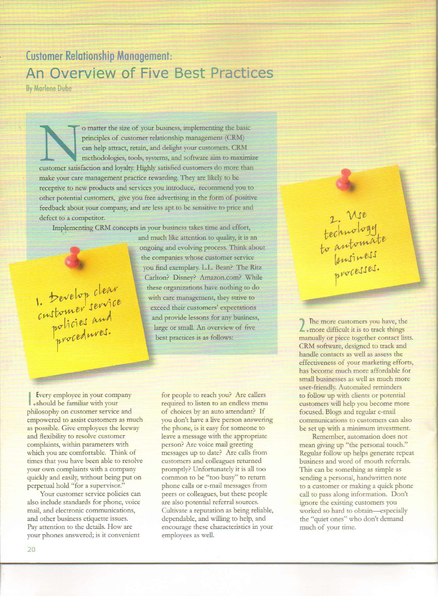## **Customer Relationship Management: An Overview of Five Best Practices**

By Marlene Dube

o matter the size of your business, implementing the basic principles of customer relationship management (CRM) can help attract, retain, and delight your customers. CRM methodologies, tools, systems, and software aim to maximize customer satisfaction and loyalty. Highly satisfied customers do more than make your care management practice rewarding. They are likely to be receptive to new products and services you introduce, recommend you to other potential customers, give you free advertising in the form of positive feedback about your company, and are less apt to be sensitive to price and defect to a competitor.

Implementing CRM concepts in your business takes time and effort,

1. Develop clear<br>customer service<br>policies and<br>procedures.

and much like attention to quality, it is an ongoing and evolving process. Think about the companies whose customer service you find exemplary. L.L. Bean? The Ritz Carlton? Disney? Amazon.com? While these organizations have nothing to do with care management, they strive to exceed their customers' expectations and provide lessons for any business, large or small. An overview of five best practices is as follows:

I Fevery employee in your complexed in the should be familiar with your Every employee in your company philosophy on customer service and empowered to assist customers as much as possible. Give employees the leeway and flexibility to resolve customer complaints, within parameters with which you are comfortable. Think of times that you have been able to resolve your own complaints with a company quickly and easily, without being put on perpetual hold "for a supervisor."

Your customer service policies can also include standards for phone, voice mail, and electronic communications, and other business etiquette issues. Pay attention to the details. How are your phones answered; is it convenient

for people to reach you? Are callers required to listen to an endless menu of choices by an auto attendant? If you don't have a live person answering the phone, is it easy for someone to leave a message with the appropriate person? Are voice mail greeting messages up to date? Are calls from customers and colleagues returned promptly? Unfortunately it is all too common to be "too busy" to return phone calls or e-mail messages from peers or colleagues, but these people are also potential referral sources. Cultivate a reputation as being reliable, dependable, and willing to help, and encourage these characteristics in your employees as well.

2. Mrs<br>technology<br>to antomate<br>to antomate

2 The more customers you have, the smore difficult it is to track things . more difficult it is to track things manually or piece together contact lists. CRM software, designed to track and handle contacts as well as assess the effectiveness of your marketing efforts, has become much more affordable for small businesses as well as much more user-friendly. Automated reminders to follow up with clients or potential customers will help you become more focused. Blogs and regulat e-mail communications to customers can also be set up with a minimum investment.

Remember, automation does not mean giving up "the personal touch." Regular follow up helps generate repeat business and word of mouth referrals. This can be something as simple as sending a personal, handwritten note to a customer or making a quick phone call to pass along information. Don't ignore the existing customers you worked so hard to obtain-especially the "quiet ones" who don't demand much of your time.